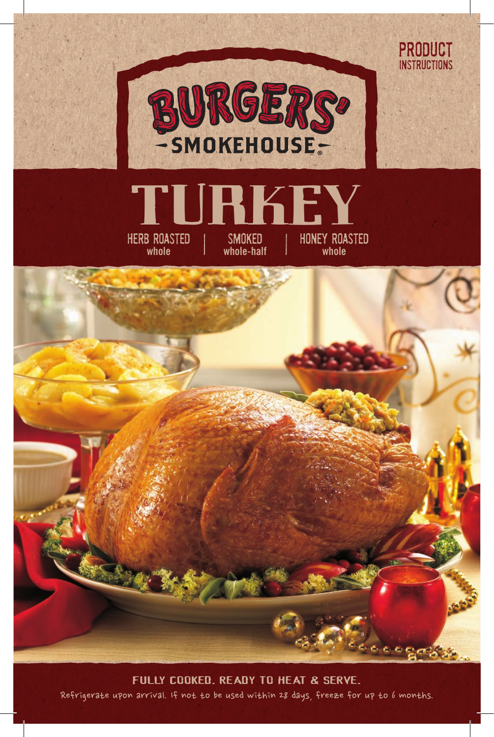

PRODUCT **INSTRUCTIONS** 





Refrigerate upon arrival. If not to be used within 28 days, freeze for up to 6 months. FULLY COOKED. READY TO HEAT & SERVE.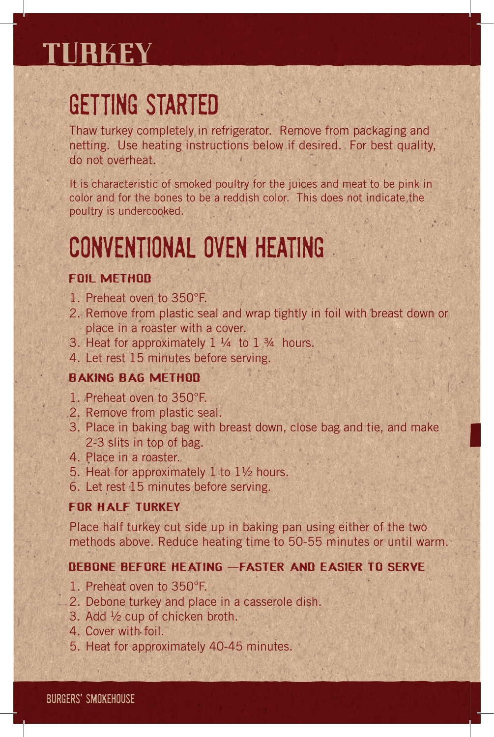### **TURKEY**

# GETTING STARTED

Thaw turkey completely in refrigerator. Remove from packaging and netting. Use heating instructions below if desired. For best quality, do not overheat.

It is characteristic of smoked poultry for the juices and meat to be pink in color and for the bones to be a reddish color. This does not indicate the poultry is undercooked.

# CONVENTIONAL OVEN HEATING

### **FOIL METHOD**

- 1. Preheat oven to 350°F.
- 2. Remove from plastic seal and wrap tightly in foil with breast down or place in a roaster with a cover.
- 3. Heat for approximately  $1\frac{1}{4}$  to  $1\frac{3}{4}$  hours.
- 4. Let rest 15 minutes before serving.

### BAKING BAG METHOD

- 1. Preheat oven to 350°F.
- 2. Remove from plastic seal.
- 3. Place in baking bag with breast down, close bag and tie, and make 2-3 slits in top of bag.
- 4. Place in a roaster.
- 5. Heat for approximately 1 to 1½ hours.
- 6. Let rest 15 minutes before serving.

### FOR HALF TURKEY

Place half turkey cut side up in baking pan using either of the two methods above. Reduce heating time to 50-55 minutes or until warm.

#### DEBONE BEFORE HEATING –FASTER AND EASIER TO SERVE

- 1. Preheat oven to 350°F.
- 2. Debone turkey and place in a casserole dish.
- 3. Add ½ cup of chicken broth.
- 4. Cover with foil.
- 5. Heat for approximately 40-45 minutes.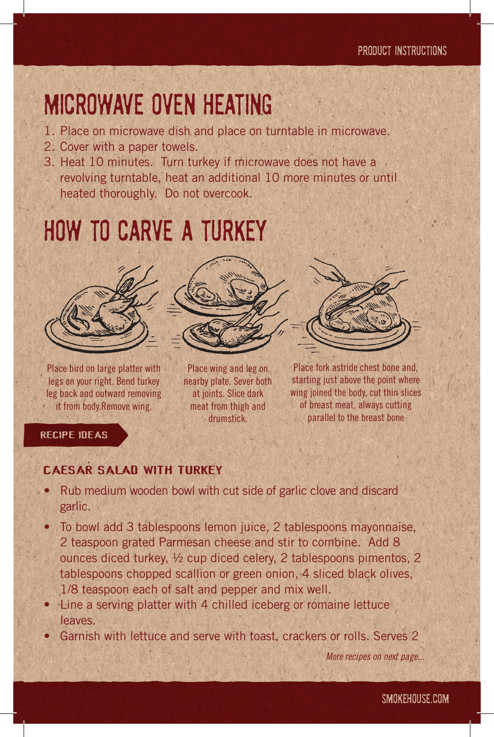### MICROWAVE OVEN HEATING

- 1. Place on microwave dish and place on turntable in microwave.
- 2. Cover with a paper towels.
- 3. Heat 10 minutes. Turn turkey if microwave does not have a revolving turntable, heat an additional 10 more minutes or until heated thoroughly. Do not overcook.

# HOW TO CARVE A TURKEY



Place bird on large platter with legs on your right. Bend turkey leg back and outward removing **it from body.Remove wing.** 



Place wing and leg on nearby plate. Sever both at joints. Slice dark meat from thigh and drumstick.



Place fork astride chest bone and, starting just above the point where wing joined the body, cut thin slices of breast meat, always cutting parallel to the breast bone

### RECIPE IDEAS

#### **CAESAR SALAD WITH TURKEY**

- Rub medium wooden bowl with cut side of garlic clove and discard garlic.
- To bowl add 3 tablespoons lemon juice, 2 tablespoons mayonnaise, 2 teaspoon grated Parmesan cheese and stir to combine. Add 8 ounces diced turkey, ½ cup diced celery, 2 tablespoons pimentos, 2 tablespoons chopped scallion or green onion, 4 sliced black olives, 1/8 teaspoon each of salt and pepper and mix well.
- Line a serving platter with 4 chilled iceberg or romaine lettuce leaves.
- Garnish with lettuce and serve with toast, crackers or rolls. Serves 2

*More recipes on next page...*